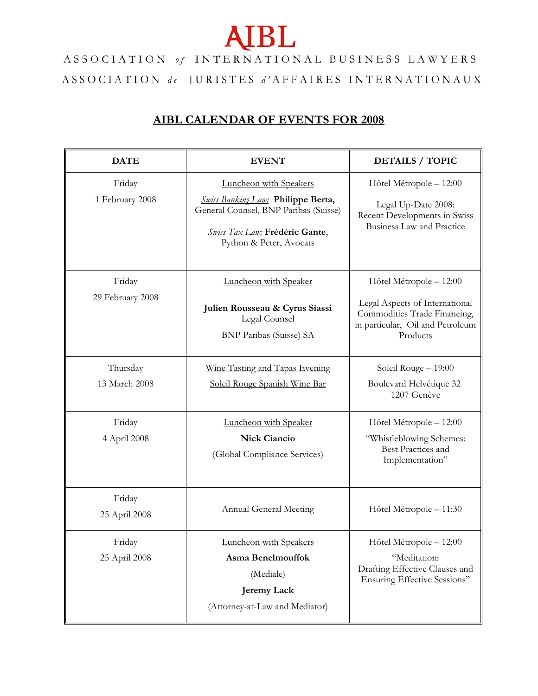## **AIBL**

ASSOCIATION of INTERNATIONAL BUSINESS LAWYERS ASSOCIATION de JURISTES d'AFFAIRES INTERNATIONAUX

## **AIBL CALENDAR OF EVENTS FOR 2008**

| <b>DATE</b>                | <b>EVENT</b>                                                                                                                                                                     | <b>DETAILS / TOPIC</b>                                                                                                                    |
|----------------------------|----------------------------------------------------------------------------------------------------------------------------------------------------------------------------------|-------------------------------------------------------------------------------------------------------------------------------------------|
| Friday<br>1 February 2008  | <b>Luncheon with Speakers</b><br><b>Swiss Banking Law: Philippe Berta,</b><br>General Counsel, BNP Paribas (Suisse)<br>Swiss Tax Law: Frédéric Gante,<br>Python & Peter, Avocats | Hôtel Métropole - 12:00<br>Legal Up-Date 2008:<br>Recent Developments in Swiss<br><b>Business Law and Practice</b>                        |
| Friday<br>29 February 2008 | Luncheon with Speaker<br>Julien Rousseau & Cyrus Siassi<br>Legal Counsel<br><b>BNP Paribas (Suisse) SA</b>                                                                       | Hôtel Métropole - 12:00<br>Legal Aspects of International<br>Commodities Trade Financing,<br>in particular, Oil and Petroleum<br>Products |
| Thursday<br>13 March 2008  | Wine Tasting and Tapas Evening<br>Soleil Rouge Spanish Wine Bar                                                                                                                  | Soleil Rouge - 19:00<br>Boulevard Helvétique 32<br>1207 Genève                                                                            |
| Friday<br>4 April 2008     | Luncheon with Speaker<br><b>Nick Ciancio</b><br>(Global Compliance Services)                                                                                                     | Hôtel Métropole – 12:00<br>"Whistleblowing Schemes:<br>Best Practices and<br>Implementation"                                              |
| Friday<br>25 April 2008    | <b>Annual General Meeting</b>                                                                                                                                                    | Hôtel Métropole - 11:30                                                                                                                   |
| Friday<br>25 April 2008    | Luncheon with Speakers<br>Asma Benelmouffok<br>(Mediale)<br><b>Jeremy Lack</b><br>(Attorney-at-Law and Mediator)                                                                 | Hôtel Métropole - 12:00<br>"Meditation:<br>Drafting Effective Clauses and<br>Ensuring Effective Sessions"                                 |